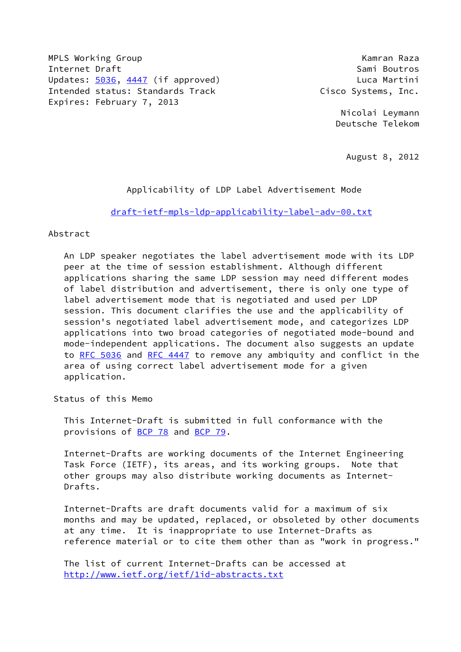MPLS Working Group **Kamran Raza** Internet Draft Sami Boutros (Sami Boutros New York) Updates: [5036](https://datatracker.ietf.org/doc/pdf/rfc5036), [4447](https://datatracker.ietf.org/doc/pdf/rfc4447) (if approved) Updates: 5036, 4447 (if approved) Intended status: Standards Track Cisco Systems, Inc. Expires: February 7, 2013

 Nicolai Leymann Deutsche Telekom

August 8, 2012

## Applicability of LDP Label Advertisement Mode

## [draft-ietf-mpls-ldp-applicability-label-adv-00.txt](https://datatracker.ietf.org/doc/pdf/draft-ietf-mpls-ldp-applicability-label-adv-00.txt)

## Abstract

 An LDP speaker negotiates the label advertisement mode with its LDP peer at the time of session establishment. Although different applications sharing the same LDP session may need different modes of label distribution and advertisement, there is only one type of label advertisement mode that is negotiated and used per LDP session. This document clarifies the use and the applicability of session's negotiated label advertisement mode, and categorizes LDP applications into two broad categories of negotiated mode-bound and mode-independent applications. The document also suggests an update to [RFC 5036](https://datatracker.ietf.org/doc/pdf/rfc5036) and [RFC 4447](https://datatracker.ietf.org/doc/pdf/rfc4447) to remove any ambiquity and conflict in the area of using correct label advertisement mode for a given application.

Status of this Memo

 This Internet-Draft is submitted in full conformance with the provisions of [BCP 78](https://datatracker.ietf.org/doc/pdf/bcp78) and [BCP 79](https://datatracker.ietf.org/doc/pdf/bcp79).

 Internet-Drafts are working documents of the Internet Engineering Task Force (IETF), its areas, and its working groups. Note that other groups may also distribute working documents as Internet- Drafts.

 Internet-Drafts are draft documents valid for a maximum of six months and may be updated, replaced, or obsoleted by other documents at any time. It is inappropriate to use Internet-Drafts as reference material or to cite them other than as "work in progress."

 The list of current Internet-Drafts can be accessed at <http://www.ietf.org/ietf/1id-abstracts.txt>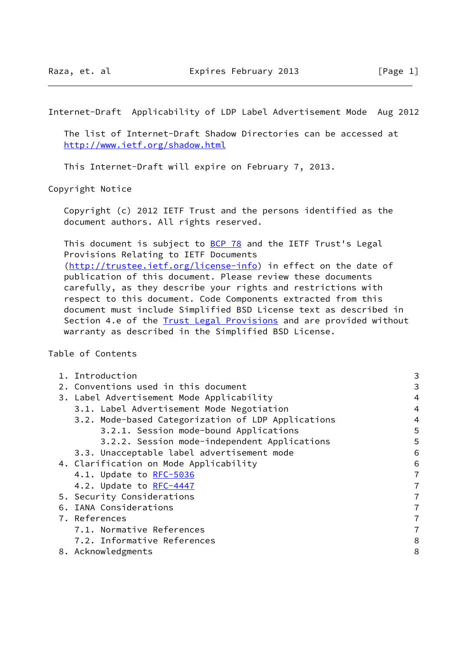Internet-Draft Applicability of LDP Label Advertisement Mode Aug 2012

 The list of Internet-Draft Shadow Directories can be accessed at <http://www.ietf.org/shadow.html>

This Internet-Draft will expire on February 7, 2013.

Copyright Notice

 Copyright (c) 2012 IETF Trust and the persons identified as the document authors. All rights reserved.

This document is subject to **[BCP 78](https://datatracker.ietf.org/doc/pdf/bcp78)** and the IETF Trust's Legal Provisions Relating to IETF Documents [\(http://trustee.ietf.org/license-info](http://trustee.ietf.org/license-info)) in effect on the date of publication of this document. Please review these documents carefully, as they describe your rights and restrictions with respect to this document. Code Components extracted from this document must include Simplified BSD License text as described in Section 4.e of the **[Trust Legal Provisions](https://trustee.ietf.org/license-info)** and are provided without warranty as described in the Simplified BSD License.

Table of Contents

| 1. Introduction                                    | 3 |
|----------------------------------------------------|---|
| 2. Conventions used in this document               | 3 |
| 3. Label Advertisement Mode Applicability          | 4 |
| 3.1. Label Advertisement Mode Negotiation          | 4 |
| 3.2. Mode-based Categorization of LDP Applications | 4 |
| 3.2.1. Session mode-bound Applications             | 5 |
| 3.2.2. Session mode-independent Applications       | 5 |
| 3.3. Unacceptable label advertisement mode         | 6 |
| 4. Clarification on Mode Applicability             | 6 |
| 4.1. Update to RFC-5036                            | 7 |
| 4.2. Update to RFC-4447                            | 7 |
| 5. Security Considerations                         | 7 |
| 6. IANA Considerations                             | 7 |
| 7. References                                      | 7 |
| 7.1. Normative References                          | 7 |
| 7.2. Informative References                        | 8 |
| 8. Acknowledgments                                 | 8 |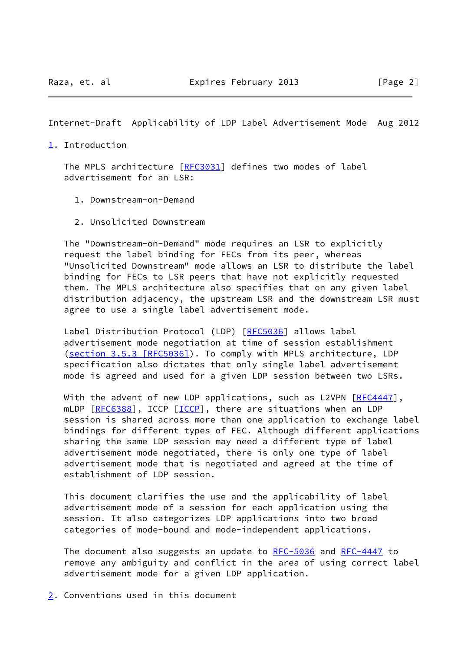Internet-Draft Applicability of LDP Label Advertisement Mode Aug 2012

## <span id="page-2-0"></span>[1](#page-2-0). Introduction

The MPLS architecture [[RFC3031](https://datatracker.ietf.org/doc/pdf/rfc3031)] defines two modes of label advertisement for an LSR:

- 1. Downstream-on-Demand
- 2. Unsolicited Downstream

 The "Downstream-on-Demand" mode requires an LSR to explicitly request the label binding for FECs from its peer, whereas "Unsolicited Downstream" mode allows an LSR to distribute the label binding for FECs to LSR peers that have not explicitly requested them. The MPLS architecture also specifies that on any given label distribution adjacency, the upstream LSR and the downstream LSR must agree to use a single label advertisement mode.

 Label Distribution Protocol (LDP) [[RFC5036](https://datatracker.ietf.org/doc/pdf/rfc5036)] allows label advertisement mode negotiation at time of session establishment (section [3.5.3 \[RFC5036\]](https://datatracker.ietf.org/doc/pdf/rfc5036#section-3.5.3)). To comply with MPLS architecture, LDP specification also dictates that only single label advertisement mode is agreed and used for a given LDP session between two LSRs.

With the advent of new LDP applications, such as L2VPN [\[RFC4447](https://datatracker.ietf.org/doc/pdf/rfc4447)], mLDP [\[RFC6388](https://datatracker.ietf.org/doc/pdf/rfc6388)], ICCP [\[ICCP](#page-8-0)], there are situations when an LDP session is shared across more than one application to exchange label bindings for different types of FEC. Although different applications sharing the same LDP session may need a different type of label advertisement mode negotiated, there is only one type of label advertisement mode that is negotiated and agreed at the time of establishment of LDP session.

 This document clarifies the use and the applicability of label advertisement mode of a session for each application using the session. It also categorizes LDP applications into two broad categories of mode-bound and mode-independent applications.

The document also suggests an update to [RFC-5036](https://datatracker.ietf.org/doc/pdf/rfc5036) and [RFC-4447](https://datatracker.ietf.org/doc/pdf/rfc4447) to remove any ambiguity and conflict in the area of using correct label advertisement mode for a given LDP application.

<span id="page-2-1"></span>[2](#page-2-1). Conventions used in this document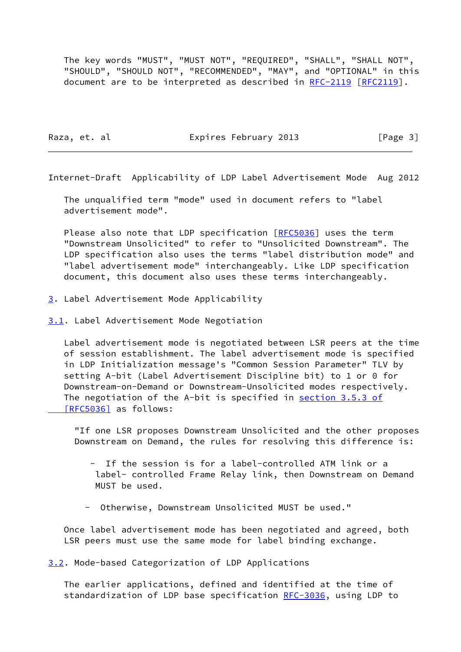The key words "MUST", "MUST NOT", "REQUIRED", "SHALL", "SHALL NOT", "SHOULD", "SHOULD NOT", "RECOMMENDED", "MAY", and "OPTIONAL" in this document are to be interpreted as described in [RFC-2119 \[RFC2119](https://datatracker.ietf.org/doc/pdf/rfc2119)].

Raza, et. al Expires February 2013 [Page 3]

Internet-Draft Applicability of LDP Label Advertisement Mode Aug 2012

 The unqualified term "mode" used in document refers to "label advertisement mode".

Please also note that LDP specification [\[RFC5036](https://datatracker.ietf.org/doc/pdf/rfc5036)] uses the term "Downstream Unsolicited" to refer to "Unsolicited Downstream". The LDP specification also uses the terms "label distribution mode" and "label advertisement mode" interchangeably. Like LDP specification document, this document also uses these terms interchangeably.

- <span id="page-3-0"></span>[3](#page-3-0). Label Advertisement Mode Applicability
- <span id="page-3-1"></span>[3.1](#page-3-1). Label Advertisement Mode Negotiation

 Label advertisement mode is negotiated between LSR peers at the time of session establishment. The label advertisement mode is specified in LDP Initialization message's "Common Session Parameter" TLV by setting A-bit (Label Advertisement Discipline bit) to 1 or 0 for Downstream-on-Demand or Downstream-Unsolicited modes respectively. The negotiation of the A-bit is specified in section [3.5.3 of](https://datatracker.ietf.org/doc/pdf/rfc5036#section-3.5.3)  [\[RFC5036\]](https://datatracker.ietf.org/doc/pdf/rfc5036#section-3.5.3) as follows:

 "If one LSR proposes Downstream Unsolicited and the other proposes Downstream on Demand, the rules for resolving this difference is:

- If the session is for a label-controlled ATM link or a label- controlled Frame Relay link, then Downstream on Demand MUST be used.
- Otherwise, Downstream Unsolicited MUST be used."

 Once label advertisement mode has been negotiated and agreed, both LSR peers must use the same mode for label binding exchange.

<span id="page-3-2"></span>[3.2](#page-3-2). Mode-based Categorization of LDP Applications

 The earlier applications, defined and identified at the time of standardization of LDP base specification [RFC-3036](https://datatracker.ietf.org/doc/pdf/rfc3036), using LDP to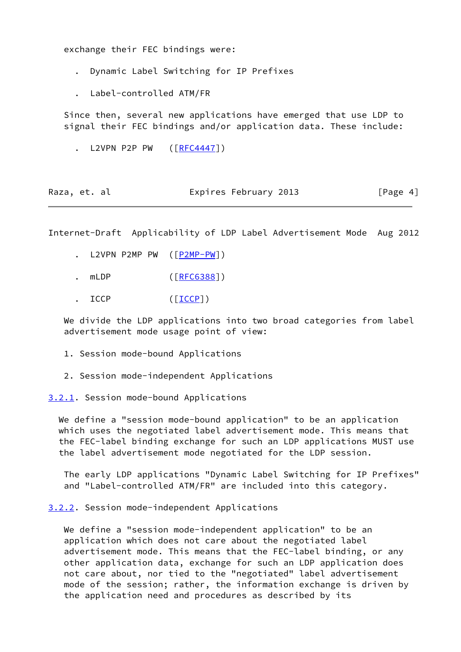exchange their FEC bindings were:

- . Dynamic Label Switching for IP Prefixes
- . Label-controlled ATM/FR

 Since then, several new applications have emerged that use LDP to signal their FEC bindings and/or application data. These include:

. L2VPN P2P PW ([\[RFC4447](https://datatracker.ietf.org/doc/pdf/rfc4447)])

| Raza, et. al | Expires February 2013 | [Page 4] |
|--------------|-----------------------|----------|
|--------------|-----------------------|----------|

Internet-Draft Applicability of LDP Label Advertisement Mode Aug 2012

- . L2VPN P2MP PW ( $[$ P2MP-PW])
- . mLDP ( $[RFC6388]$  $[RFC6388]$ )
- ICCP ([<u>ICCP]</u>)

We divide the LDP applications into two broad categories from label advertisement mode usage point of view:

- 1. Session mode-bound Applications
- 2. Session mode-independent Applications

<span id="page-4-0"></span>[3.2.1](#page-4-0). Session mode-bound Applications

 We define a "session mode-bound application" to be an application which uses the negotiated label advertisement mode. This means that the FEC-label binding exchange for such an LDP applications MUST use the label advertisement mode negotiated for the LDP session.

 The early LDP applications "Dynamic Label Switching for IP Prefixes" and "Label-controlled ATM/FR" are included into this category.

<span id="page-4-1"></span>[3.2.2](#page-4-1). Session mode-independent Applications

 We define a "session mode-independent application" to be an application which does not care about the negotiated label advertisement mode. This means that the FEC-label binding, or any other application data, exchange for such an LDP application does not care about, nor tied to the "negotiated" label advertisement mode of the session; rather, the information exchange is driven by the application need and procedures as described by its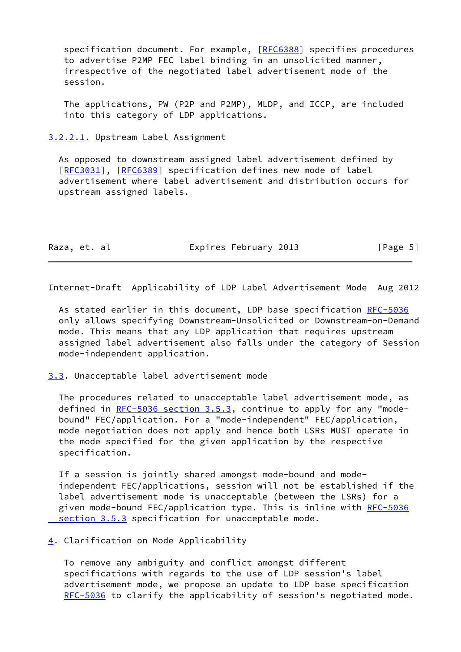specification document. For example, [\[RFC6388](https://datatracker.ietf.org/doc/pdf/rfc6388)] specifies procedures to advertise P2MP FEC label binding in an unsolicited manner, irrespective of the negotiated label advertisement mode of the session.

 The applications, PW (P2P and P2MP), MLDP, and ICCP, are included into this category of LDP applications.

<span id="page-5-0"></span>[3.2.2.1](#page-5-0). Upstream Label Assignment

 As opposed to downstream assigned label advertisement defined by [\[RFC3031](https://datatracker.ietf.org/doc/pdf/rfc3031)], [[RFC6389](https://datatracker.ietf.org/doc/pdf/rfc6389)] specification defines new mode of label advertisement where label advertisement and distribution occurs for upstream assigned labels.

| Raza, et. al | Expires February 2013 | [Page 5] |
|--------------|-----------------------|----------|
|--------------|-----------------------|----------|

Internet-Draft Applicability of LDP Label Advertisement Mode Aug 2012

As stated earlier in this document, LDP base specification [RFC-5036](https://datatracker.ietf.org/doc/pdf/rfc5036) only allows specifying Downstream-Unsolicited or Downstream-on-Demand mode. This means that any LDP application that requires upstream assigned label advertisement also falls under the category of Session mode-independent application.

<span id="page-5-1"></span>[3.3](#page-5-1). Unacceptable label advertisement mode

 The procedures related to unacceptable label advertisement mode, as defined in  $RFC-5036$  section  $3.5.3$ , continue to apply for any "mode bound" FEC/application. For a "mode-independent" FEC/application, mode negotiation does not apply and hence both LSRs MUST operate in the mode specified for the given application by the respective specification.

 If a session is jointly shared amongst mode-bound and mode independent FEC/applications, session will not be established if the label advertisement mode is unacceptable (between the LSRs) for a given mode-bound FEC/application type. This is inline with [RFC-5036](https://datatracker.ietf.org/doc/pdf/rfc5036#section-3.5.3) section 3.5.3 specification for unacceptable mode.

<span id="page-5-2"></span>[4](#page-5-2). Clarification on Mode Applicability

 To remove any ambiguity and conflict amongst different specifications with regards to the use of LDP session's label advertisement mode, we propose an update to LDP base specification [RFC-5036](https://datatracker.ietf.org/doc/pdf/rfc5036) to clarify the applicability of session's negotiated mode.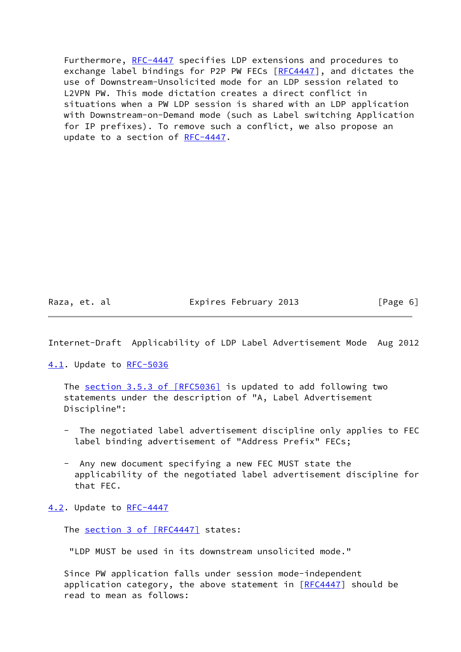Furthermore, [RFC-4447](https://datatracker.ietf.org/doc/pdf/rfc4447) specifies LDP extensions and procedures to exchange label bindings for P2P PW FECs [\[RFC4447](https://datatracker.ietf.org/doc/pdf/rfc4447)], and dictates the use of Downstream-Unsolicited mode for an LDP session related to L2VPN PW. This mode dictation creates a direct conflict in situations when a PW LDP session is shared with an LDP application with Downstream-on-Demand mode (such as Label switching Application for IP prefixes). To remove such a conflict, we also propose an update to a section of [RFC-4447.](https://datatracker.ietf.org/doc/pdf/rfc4447)

Raza, et. al Expires February 2013 [Page 6]

Internet-Draft Applicability of LDP Label Advertisement Mode Aug 2012

<span id="page-6-0"></span>[4.1](#page-6-0). Update to [RFC-5036](https://datatracker.ietf.org/doc/pdf/rfc5036)

The section [3.5.3 of \[RFC5036\]](https://datatracker.ietf.org/doc/pdf/rfc5036#section-3.5.3) is updated to add following two statements under the description of "A, Label Advertisement Discipline":

- The negotiated label advertisement discipline only applies to FEC label binding advertisement of "Address Prefix" FECs;
- Any new document specifying a new FEC MUST state the applicability of the negotiated label advertisement discipline for that FEC.

<span id="page-6-1"></span>[4.2](#page-6-1). Update to [RFC-4447](https://datatracker.ietf.org/doc/pdf/rfc4447)

The section [3 of \[RFC4447\]](https://datatracker.ietf.org/doc/pdf/rfc4447#section-3) states:

"LDP MUST be used in its downstream unsolicited mode."

 Since PW application falls under session mode-independent application category, the above statement in  $[REC4447]$  should be read to mean as follows: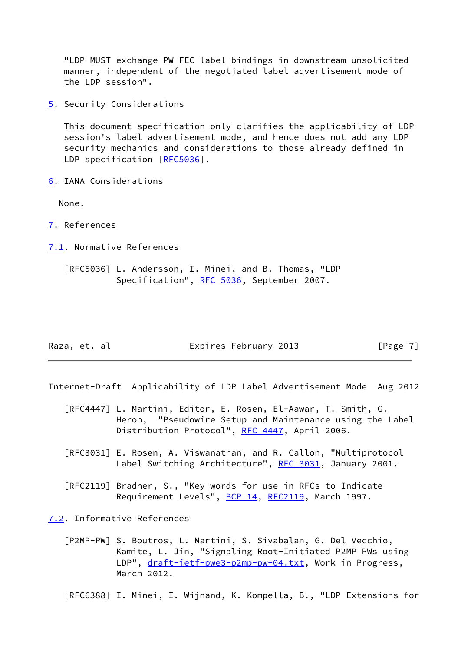"LDP MUST exchange PW FEC label bindings in downstream unsolicited manner, independent of the negotiated label advertisement mode of the LDP session".

<span id="page-7-1"></span>[5](#page-7-1). Security Considerations

 This document specification only clarifies the applicability of LDP session's label advertisement mode, and hence does not add any LDP security mechanics and considerations to those already defined in LDP specification [[RFC5036](https://datatracker.ietf.org/doc/pdf/rfc5036)].

<span id="page-7-2"></span>[6](#page-7-2). IANA Considerations

None.

- <span id="page-7-3"></span>[7](#page-7-3). References
- <span id="page-7-4"></span>[7.1](#page-7-4). Normative References

 [RFC5036] L. Andersson, I. Minei, and B. Thomas, "LDP Specification", [RFC 5036](https://datatracker.ietf.org/doc/pdf/rfc5036), September 2007.

| Raza, et. al |  | Expires February 2013 | [Page 7] |  |
|--------------|--|-----------------------|----------|--|
|              |  |                       |          |  |

Internet-Draft Applicability of LDP Label Advertisement Mode Aug 2012

- [RFC4447] L. Martini, Editor, E. Rosen, El-Aawar, T. Smith, G. Heron, "Pseudowire Setup and Maintenance using the Label Distribution Protocol", [RFC 4447](https://datatracker.ietf.org/doc/pdf/rfc4447), April 2006.
- [RFC3031] E. Rosen, A. Viswanathan, and R. Callon, "Multiprotocol Label Switching Architecture", [RFC 3031](https://datatracker.ietf.org/doc/pdf/rfc3031), January 2001.
- [RFC2119] Bradner, S., "Key words for use in RFCs to Indicate Requirement Levels", [BCP 14](https://datatracker.ietf.org/doc/pdf/bcp14), [RFC2119](https://datatracker.ietf.org/doc/pdf/rfc2119), March 1997.

<span id="page-7-5"></span>[7.2](#page-7-5). Informative References

<span id="page-7-0"></span> [P2MP-PW] S. Boutros, L. Martini, S. Sivabalan, G. Del Vecchio, Kamite, L. Jin, "Signaling Root-Initiated P2MP PWs using LDP", [draft-ietf-pwe3-p2mp-pw-04.txt](https://datatracker.ietf.org/doc/pdf/draft-ietf-pwe3-p2mp-pw-04.txt), Work in Progress, March 2012.

[RFC6388] I. Minei, I. Wijnand, K. Kompella, B., "LDP Extensions for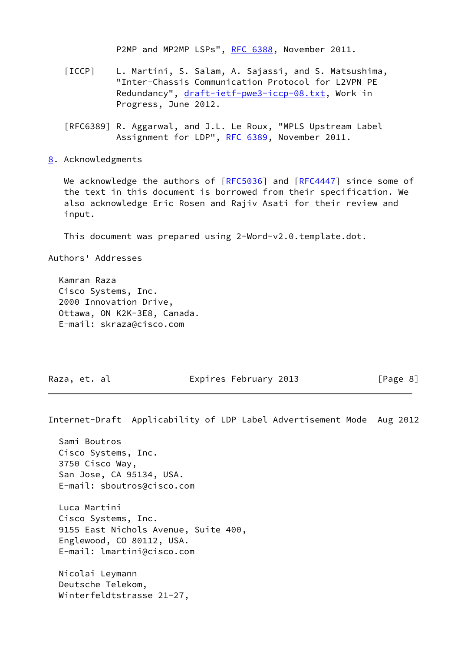P2MP and MP2MP LSPs", [RFC 6388](https://datatracker.ietf.org/doc/pdf/rfc6388), November 2011.

- <span id="page-8-0"></span> [ICCP] L. Martini, S. Salam, A. Sajassi, and S. Matsushima, "Inter-Chassis Communication Protocol for L2VPN PE Redundancy", [draft-ietf-pwe3-iccp-08.txt](https://datatracker.ietf.org/doc/pdf/draft-ietf-pwe3-iccp-08.txt), Work in Progress, June 2012.
- [RFC6389] R. Aggarwal, and J.L. Le Roux, "MPLS Upstream Label Assignment for LDP", [RFC 6389,](https://datatracker.ietf.org/doc/pdf/rfc6389) November 2011.
- <span id="page-8-1"></span>[8](#page-8-1). Acknowledgments

We acknowledge the authors of  $[REC5036]$  and  $[REC4447]$  since some of the text in this document is borrowed from their specification. We also acknowledge Eric Rosen and Rajiv Asati for their review and input.

This document was prepared using 2-Word-v2.0.template.dot.

Authors' Addresses

 Kamran Raza Cisco Systems, Inc. 2000 Innovation Drive, Ottawa, ON K2K-3E8, Canada. E-mail: skraza@cisco.com

Raza, et. al Expires February 2013 [Page 8]

Internet-Draft Applicability of LDP Label Advertisement Mode Aug 2012

 Sami Boutros Cisco Systems, Inc. 3750 Cisco Way, San Jose, CA 95134, USA. E-mail: sboutros@cisco.com

 Luca Martini Cisco Systems, Inc. 9155 East Nichols Avenue, Suite 400, Englewood, CO 80112, USA. E-mail: lmartini@cisco.com

 Nicolai Leymann Deutsche Telekom, Winterfeldtstrasse 21-27,